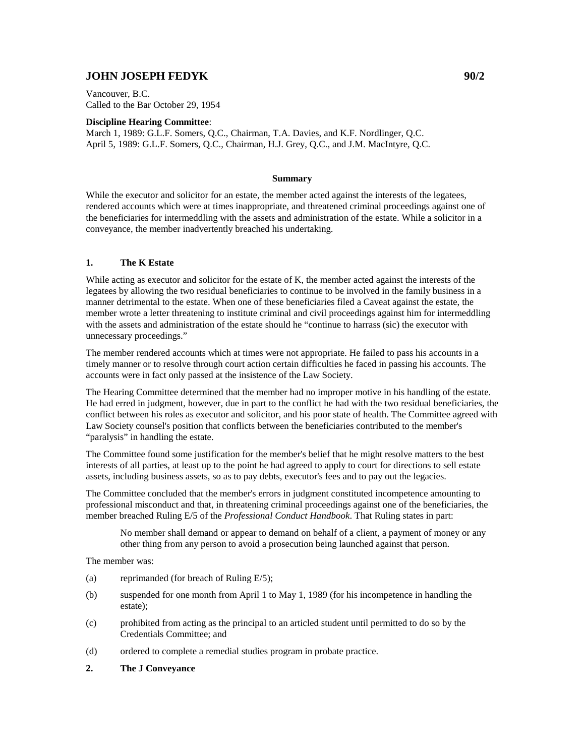## **JOHN JOSEPH FEDYK 90/2**

Vancouver, B.C. Called to the Bar October 29, 1954

## **Discipline Hearing Committee**:

March 1, 1989: G.L.F. Somers, Q.C., Chairman, T.A. Davies, and K.F. Nordlinger, Q.C. April 5, 1989: G.L.F. Somers, Q.C., Chairman, H.J. Grey, Q.C., and J.M. MacIntyre, Q.C.

## **Summary**

While the executor and solicitor for an estate, the member acted against the interests of the legatees, rendered accounts which were at times inappropriate, and threatened criminal proceedings against one of the beneficiaries for intermeddling with the assets and administration of the estate. While a solicitor in a conveyance, the member inadvertently breached his undertaking.

## **1. The K Estate**

While acting as executor and solicitor for the estate of K, the member acted against the interests of the legatees by allowing the two residual beneficiaries to continue to be involved in the family business in a manner detrimental to the estate. When one of these beneficiaries filed a Caveat against the estate, the member wrote a letter threatening to institute criminal and civil proceedings against him for intermeddling with the assets and administration of the estate should he "continue to harrass (sic) the executor with unnecessary proceedings."

The member rendered accounts which at times were not appropriate. He failed to pass his accounts in a timely manner or to resolve through court action certain difficulties he faced in passing his accounts. The accounts were in fact only passed at the insistence of the Law Society.

The Hearing Committee determined that the member had no improper motive in his handling of the estate. He had erred in judgment, however, due in part to the conflict he had with the two residual beneficiaries, the conflict between his roles as executor and solicitor, and his poor state of health. The Committee agreed with Law Society counsel's position that conflicts between the beneficiaries contributed to the member's "paralysis" in handling the estate.

The Committee found some justification for the member's belief that he might resolve matters to the best interests of all parties, at least up to the point he had agreed to apply to court for directions to sell estate assets, including business assets, so as to pay debts, executor's fees and to pay out the legacies.

The Committee concluded that the member's errors in judgment constituted incompetence amounting to professional misconduct and that, in threatening criminal proceedings against one of the beneficiaries, the member breached Ruling E/5 of the *Professional Conduct Handbook*. That Ruling states in part:

No member shall demand or appear to demand on behalf of a client, a payment of money or any other thing from any person to avoid a prosecution being launched against that person.

The member was:

- (a) reprimanded (for breach of Ruling E/5);
- (b) suspended for one month from April 1 to May 1, 1989 (for his incompetence in handling the estate);
- (c) prohibited from acting as the principal to an articled student until permitted to do so by the Credentials Committee; and
- (d) ordered to complete a remedial studies program in probate practice.
- **2. The J Conveyance**